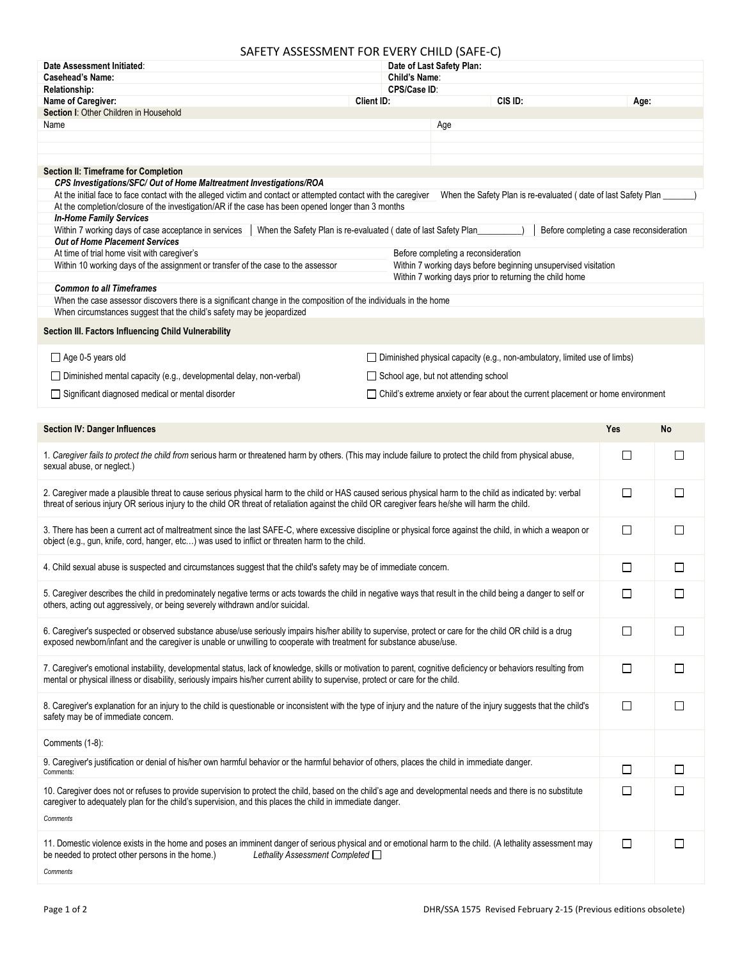## SAFETY ASSESSMENT FOR EVERY CHILD (SAFE-C)

| Date Assessment Initiated:                                                                                                                                                                                                                                                                                                                                     | <u>II AJJEJJIVIENI I UN EVENT CHIED (JAI E CJ</u><br>Date of Last Safety Plan:   |                                                                                   |        |              |  |  |
|----------------------------------------------------------------------------------------------------------------------------------------------------------------------------------------------------------------------------------------------------------------------------------------------------------------------------------------------------------------|----------------------------------------------------------------------------------|-----------------------------------------------------------------------------------|--------|--------------|--|--|
| <b>Casehead's Name:</b>                                                                                                                                                                                                                                                                                                                                        |                                                                                  | Child's Name:                                                                     |        |              |  |  |
| <b>Relationship:</b>                                                                                                                                                                                                                                                                                                                                           | CPS/Case ID:                                                                     |                                                                                   |        |              |  |  |
| Client ID:<br>Name of Caregiver:                                                                                                                                                                                                                                                                                                                               |                                                                                  | CIS ID:                                                                           | Age:   |              |  |  |
| Section I: Other Children in Household                                                                                                                                                                                                                                                                                                                         |                                                                                  |                                                                                   |        |              |  |  |
| Name                                                                                                                                                                                                                                                                                                                                                           |                                                                                  | Age                                                                               |        |              |  |  |
|                                                                                                                                                                                                                                                                                                                                                                |                                                                                  |                                                                                   |        |              |  |  |
|                                                                                                                                                                                                                                                                                                                                                                |                                                                                  |                                                                                   |        |              |  |  |
| Section II: Timeframe for Completion                                                                                                                                                                                                                                                                                                                           |                                                                                  |                                                                                   |        |              |  |  |
| CPS Investigations/SFC/ Out of Home Maltreatment Investigations/ROA<br>At the initial face to face contact with the alleged victim and contact or attempted contact with the caregiver<br>When the Safety Plan is re-evaluated (date of last Safety Plan<br>At the completion/closure of the investigation/AR if the case has been opened longer than 3 months |                                                                                  |                                                                                   |        |              |  |  |
| <b>In-Home Family Services</b><br>Within 7 working days of case acceptance in services<br>When the Safety Plan is re-evaluated (date of last Safety Plan<br>Before completing a case reconsideration                                                                                                                                                           |                                                                                  |                                                                                   |        |              |  |  |
| <b>Out of Home Placement Services</b>                                                                                                                                                                                                                                                                                                                          |                                                                                  |                                                                                   |        |              |  |  |
| At time of trial home visit with caregiver's                                                                                                                                                                                                                                                                                                                   |                                                                                  | Before completing a reconsideration                                               |        |              |  |  |
| Within 10 working days of the assignment or transfer of the case to the assessor                                                                                                                                                                                                                                                                               |                                                                                  | Within 7 working days before beginning unsupervised visitation                    |        |              |  |  |
| <b>Common to all Timeframes</b>                                                                                                                                                                                                                                                                                                                                |                                                                                  | Within 7 working days prior to returning the child home                           |        |              |  |  |
| When the case assessor discovers there is a significant change in the composition of the individuals in the home                                                                                                                                                                                                                                               |                                                                                  |                                                                                   |        |              |  |  |
| When circumstances suggest that the child's safety may be jeopardized                                                                                                                                                                                                                                                                                          |                                                                                  |                                                                                   |        |              |  |  |
| Section III. Factors Influencing Child Vulnerability                                                                                                                                                                                                                                                                                                           |                                                                                  |                                                                                   |        |              |  |  |
| Age 0-5 years old                                                                                                                                                                                                                                                                                                                                              | $\Box$ Diminished physical capacity (e.g., non-ambulatory, limited use of limbs) |                                                                                   |        |              |  |  |
| □ Diminished mental capacity (e.g., developmental delay, non-verbal)                                                                                                                                                                                                                                                                                           |                                                                                  | School age, but not attending school                                              |        |              |  |  |
| Significant diagnosed medical or mental disorder                                                                                                                                                                                                                                                                                                               |                                                                                  | □ Child's extreme anxiety or fear about the current placement or home environment |        |              |  |  |
|                                                                                                                                                                                                                                                                                                                                                                |                                                                                  |                                                                                   |        |              |  |  |
|                                                                                                                                                                                                                                                                                                                                                                |                                                                                  |                                                                                   |        |              |  |  |
| <b>Section IV: Danger Influences</b>                                                                                                                                                                                                                                                                                                                           |                                                                                  |                                                                                   | Yes    | No           |  |  |
| 1. Caregiver fails to protect the child from serious harm or threatened harm by others. (This may include failure to protect the child from physical abuse,<br>sexual abuse, or neglect.)                                                                                                                                                                      |                                                                                  |                                                                                   | $\Box$ | П            |  |  |
| 2. Caregiver made a plausible threat to cause serious physical harm to the child or HAS caused serious physical harm to the child as indicated by: verbal<br>threat of serious injury OR serious injury to the child OR threat of retaliation against the child OR caregiver fears he/she will harm the child.                                                 |                                                                                  |                                                                                   | $\Box$ | П            |  |  |
| 3. There has been a current act of maltreatment since the last SAFE-C, where excessive discipline or physical force against the child, in which a weapon or<br>$\Box$<br>object (e.g., gun, knife, cord, hanger, etc) was used to inflict or threaten harm to the child.                                                                                       |                                                                                  |                                                                                   |        | П            |  |  |
| 4. Child sexual abuse is suspected and circumstances suggest that the child's safety may be of immediate concem.                                                                                                                                                                                                                                               |                                                                                  |                                                                                   | $\Box$ | □            |  |  |
|                                                                                                                                                                                                                                                                                                                                                                |                                                                                  |                                                                                   |        |              |  |  |
| 5. Caregiver describes the child in predominately negative terms or acts towards the child in negative ways that result in the child being a danger to self or<br>others, acting out aggressively, or being severely withdrawn and/or suicidal.                                                                                                                |                                                                                  |                                                                                   |        | $\mathbf{I}$ |  |  |
| 6. Caregiver's suspected or observed substance abuse/use seriously impairs his/her ability to supervise, protect or care for the child OR child is a drug<br>exposed newborn/infant and the caregiver is unable or unwilling to cooperate with treatment for substance abuse/use.                                                                              |                                                                                  |                                                                                   | $\Box$ | $\Box$       |  |  |
| 7. Caregiver's emotional instability, developmental status, lack of knowledge, skills or motivation to parent, cognitive deficiency or behaviors resulting from<br>mental or physical illness or disability, seriously impairs his/her current ability to supervise, protect or care for the child.                                                            |                                                                                  |                                                                                   | $\Box$ | $\perp$      |  |  |
| 8. Caregiver's explanation for an injury to the child is questionable or inconsistent with the type of injury and the nature of the injury suggests that the child's<br>safety may be of immediate concern.                                                                                                                                                    |                                                                                  |                                                                                   | □      | $\Box$       |  |  |
| Comments (1-8):                                                                                                                                                                                                                                                                                                                                                |                                                                                  |                                                                                   |        |              |  |  |
| 9. Caregiver's justification or denial of his/her own harmful behavior or the harmful behavior of others, places the child in immediate danger.<br>Comments:                                                                                                                                                                                                   |                                                                                  |                                                                                   | $\Box$ | □            |  |  |
| 10. Caregiver does not or refuses to provide supervision to protect the child, based on the child's age and developmental needs and there is no substitute<br>caregiver to adequately plan for the child's supervision, and this places the child in immediate danger.                                                                                         |                                                                                  |                                                                                   | □      | □            |  |  |
| Comments                                                                                                                                                                                                                                                                                                                                                       |                                                                                  |                                                                                   |        |              |  |  |
| 11. Domestic violence exists in the home and poses an imminent danger of serious physical and or emotional harm to the child. (A lethality assessment may<br>be needed to protect other persons in the home.)<br>Lethality Assessment Completed $\Box$                                                                                                         |                                                                                  |                                                                                   | $\Box$ | $\Box$       |  |  |
| Comments                                                                                                                                                                                                                                                                                                                                                       |                                                                                  |                                                                                   |        |              |  |  |